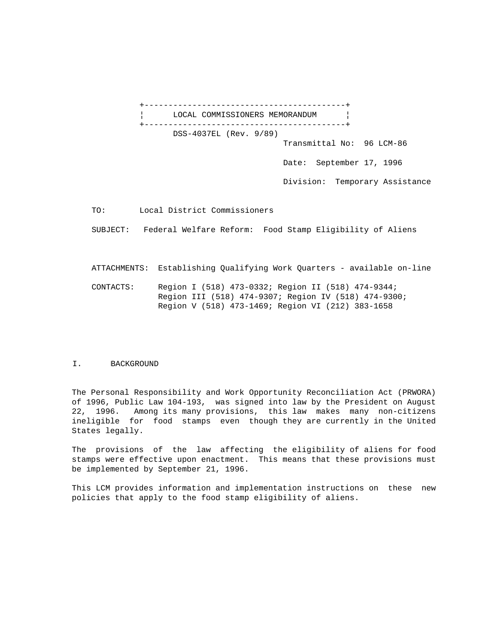+------------------------------------------+ LOCAL COMMISSIONERS MEMORANDUM | +------------------------------------------+ DSS-4037EL (Rev. 9/89) Transmittal No: 96 LCM-86 Date: September 17, 1996

Division: Temporary Assistance

TO: Local District Commissioners

SUBJECT: Federal Welfare Reform: Food Stamp Eligibility of Aliens

ATTACHMENTS: Establishing Qualifying Work Quarters - available on-line

 CONTACTS: Region I (518) 473-0332; Region II (518) 474-9344; Region III (518) 474-9307; Region IV (518) 474-9300; Region V (518) 473-1469; Region VI (212) 383-1658

### I. BACKGROUND

The Personal Responsibility and Work Opportunity Reconciliation Act (PRWORA) of 1996, Public Law 104-193, was signed into law by the President on August 22, 1996. Among its many provisions, this law makes many non-citizens ineligible for food stamps even though they are currently in the United States legally.

The provisions of the law affecting the eligibility of aliens for food stamps were effective upon enactment. This means that these provisions must be implemented by September 21, 1996.

This LCM provides information and implementation instructions on these new policies that apply to the food stamp eligibility of aliens.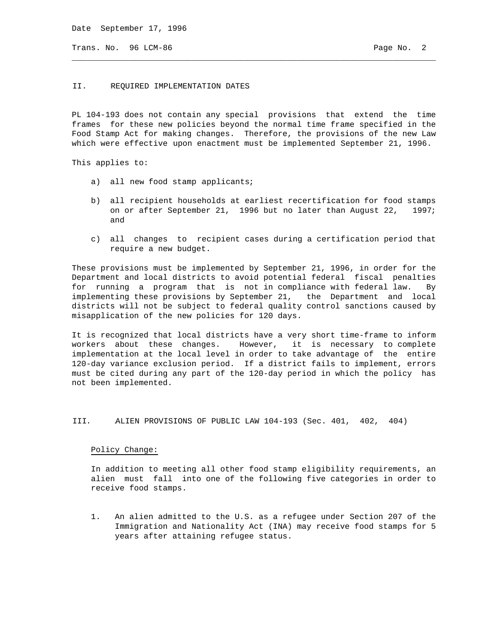Date September 17, 1996

Trans. No. 96 LCM-86 **Page No. 2** Page No. 2

### II. REQUIRED IMPLEMENTATION DATES

PL 104-193 does not contain any special provisions that extend the time frames for these new policies beyond the normal time frame specified in the Food Stamp Act for making changes. Therefore, the provisions of the new Law which were effective upon enactment must be implemented September 21, 1996.

\_\_\_\_\_\_\_\_\_\_\_\_\_\_\_\_\_\_\_\_\_\_\_\_\_\_\_\_\_\_\_\_\_\_\_\_\_\_\_\_\_\_\_\_\_\_\_\_\_\_\_\_\_\_\_\_\_\_\_\_\_\_\_\_\_\_\_\_\_\_\_\_\_\_\_\_

This applies to:

- a) all new food stamp applicants;
- b) all recipient households at earliest recertification for food stamps on or after September 21, 1996 but no later than August 22, 1997; and
- c) all changes to recipient cases during a certification period that require a new budget.

These provisions must be implemented by September 21, 1996, in order for the Department and local districts to avoid potential federal fiscal penalties for running a program that is not in compliance with federal law. By implementing these provisions by September 21, the Department and local districts will not be subject to federal quality control sanctions caused by misapplication of the new policies for 120 days.

It is recognized that local districts have a very short time-frame to inform workers about these changes. However, it is necessary to complete implementation at the local level in order to take advantage of the entire 120-day variance exclusion period. If a district fails to implement, errors must be cited during any part of the 120-day period in which the policy has not been implemented.

III. ALIEN PROVISIONS OF PUBLIC LAW 104-193 (Sec. 401, 402, 404)

#### Policy Change:

 In addition to meeting all other food stamp eligibility requirements, an alien must fall into one of the following five categories in order to receive food stamps.

 1. An alien admitted to the U.S. as a refugee under Section 207 of the Immigration and Nationality Act (INA) may receive food stamps for 5 years after attaining refugee status.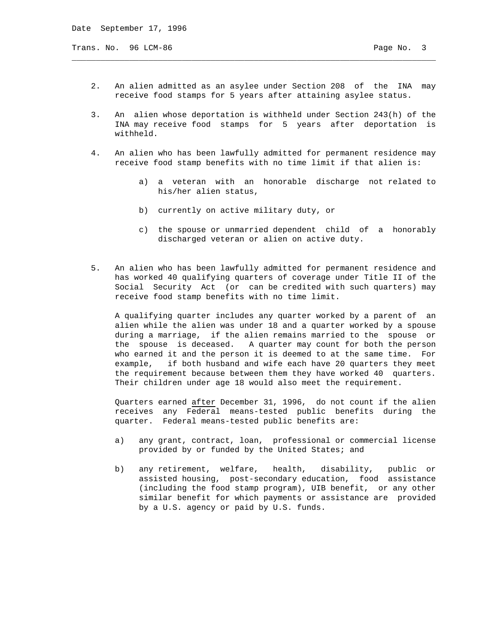Trans. No. 96 LCM-86 **Page No. 3** 

 2. An alien admitted as an asylee under Section 208 of the INA may receive food stamps for 5 years after attaining asylee status.

\_\_\_\_\_\_\_\_\_\_\_\_\_\_\_\_\_\_\_\_\_\_\_\_\_\_\_\_\_\_\_\_\_\_\_\_\_\_\_\_\_\_\_\_\_\_\_\_\_\_\_\_\_\_\_\_\_\_\_\_\_\_\_\_\_\_\_\_\_\_\_\_\_\_\_\_

- 3. An alien whose deportation is withheld under Section 243(h) of the INA may receive food stamps for 5 years after deportation is withheld.
- 4. An alien who has been lawfully admitted for permanent residence may receive food stamp benefits with no time limit if that alien is:
	- a) a veteran with an honorable discharge not related to his/her alien status,
	- b) currently on active military duty, or
	- c) the spouse or unmarried dependent child of a honorably discharged veteran or alien on active duty.
- 5. An alien who has been lawfully admitted for permanent residence and has worked 40 qualifying quarters of coverage under Title II of the Social Security Act (or can be credited with such quarters) may receive food stamp benefits with no time limit.

 A qualifying quarter includes any quarter worked by a parent of an alien while the alien was under 18 and a quarter worked by a spouse during a marriage, if the alien remains married to the spouse or the spouse is deceased. A quarter may count for both the person who earned it and the person it is deemed to at the same time. For example, if both husband and wife each have 20 quarters they meet the requirement because between them they have worked 40 quarters. Their children under age 18 would also meet the requirement.

 Quarters earned after December 31, 1996, do not count if the alien receives any Federal means-tested public benefits during the quarter. Federal means-tested public benefits are:

- a) any grant, contract, loan, professional or commercial license provided by or funded by the United States; and
- b) any retirement, welfare, health, disability, public or assisted housing, post-secondary education, food assistance (including the food stamp program), UIB benefit, or any other similar benefit for which payments or assistance are provided by a U.S. agency or paid by U.S. funds.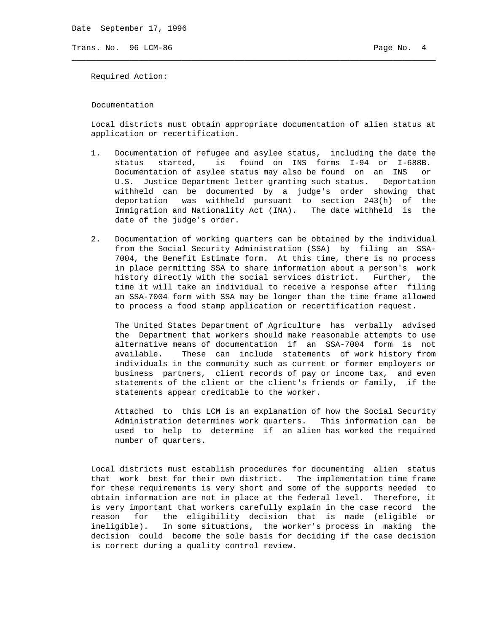Date September 17, 1996

Trans. No. 96 LCM-86 **Page No. 4** Page No. 4

#### Required Action:

Documentation

 Local districts must obtain appropriate documentation of alien status at application or recertification.

\_\_\_\_\_\_\_\_\_\_\_\_\_\_\_\_\_\_\_\_\_\_\_\_\_\_\_\_\_\_\_\_\_\_\_\_\_\_\_\_\_\_\_\_\_\_\_\_\_\_\_\_\_\_\_\_\_\_\_\_\_\_\_\_\_\_\_\_\_\_\_\_\_\_\_\_

- 1. Documentation of refugee and asylee status, including the date the status started, is found on INS forms I-94 or I-688B. Documentation of asylee status may also be found on an INS or U.S. Justice Department letter granting such status. Deportation withheld can be documented by a judge's order showing that deportation was withheld pursuant to section 243(h) of the Immigration and Nationality Act (INA). The date withheld is the date of the judge's order.
- 2. Documentation of working quarters can be obtained by the individual from the Social Security Administration (SSA) by filing an SSA- 7004, the Benefit Estimate form. At this time, there is no process in place permitting SSA to share information about a person's work history directly with the social services district. Further, the time it will take an individual to receive a response after filing an SSA-7004 form with SSA may be longer than the time frame allowed to process a food stamp application or recertification request.

 The United States Department of Agriculture has verbally advised the Department that workers should make reasonable attempts to use alternative means of documentation if an SSA-7004 form is not available. These can include statements of work history from individuals in the community such as current or former employers or business partners, client records of pay or income tax, and even statements of the client or the client's friends or family, if the statements appear creditable to the worker.

 Attached to this LCM is an explanation of how the Social Security Administration determines work quarters. This information can be used to help to determine if an alien has worked the required number of quarters.

 Local districts must establish procedures for documenting alien status that work best for their own district. The implementation time frame for these requirements is very short and some of the supports needed to obtain information are not in place at the federal level. Therefore, it is very important that workers carefully explain in the case record the reason for the eligibility decision that is made (eligible or ineligible). In some situations, the worker's process in making the decision could become the sole basis for deciding if the case decision is correct during a quality control review.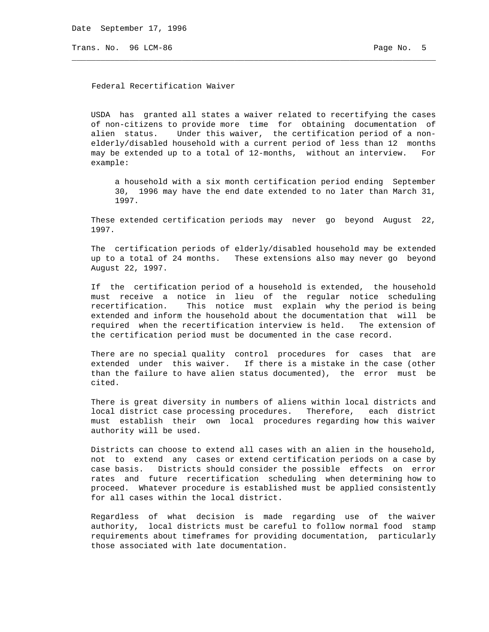Trans. No. 96 LCM-86 **Page No. 5** Page No. 5

Federal Recertification Waiver

 USDA has granted all states a waiver related to recertifying the cases of non-citizens to provide more time for obtaining documentation of alien status. Under this waiver, the certification period of a non elderly/disabled household with a current period of less than 12 months may be extended up to a total of 12-months, without an interview. For example:

\_\_\_\_\_\_\_\_\_\_\_\_\_\_\_\_\_\_\_\_\_\_\_\_\_\_\_\_\_\_\_\_\_\_\_\_\_\_\_\_\_\_\_\_\_\_\_\_\_\_\_\_\_\_\_\_\_\_\_\_\_\_\_\_\_\_\_\_\_\_\_\_\_\_\_\_

 a household with a six month certification period ending September 30, 1996 may have the end date extended to no later than March 31, 1997.

 These extended certification periods may never go beyond August 22, 1997.

 The certification periods of elderly/disabled household may be extended up to a total of 24 months. These extensions also may never go beyond August 22, 1997.

 If the certification period of a household is extended, the household must receive a notice in lieu of the regular notice scheduling recertification. This notice must explain why the period is being extended and inform the household about the documentation that will be required when the recertification interview is held. The extension of the certification period must be documented in the case record.

 There are no special quality control procedures for cases that are extended under this waiver. If there is a mistake in the case (other than the failure to have alien status documented), the error must be cited.

 There is great diversity in numbers of aliens within local districts and local district case processing procedures. Therefore, each district must establish their own local procedures regarding how this waiver authority will be used.

 Districts can choose to extend all cases with an alien in the household, not to extend any cases or extend certification periods on a case by case basis. Districts should consider the possible effects on error rates and future recertification scheduling when determining how to proceed. Whatever procedure is established must be applied consistently for all cases within the local district.

 Regardless of what decision is made regarding use of the waiver authority, local districts must be careful to follow normal food stamp requirements about timeframes for providing documentation, particularly those associated with late documentation.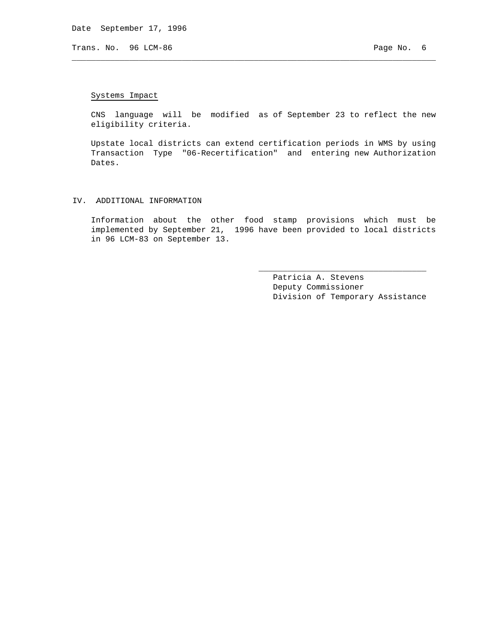Trans. No. 96 LCM-86 **Page No. 6** Page No. 6

# Systems Impact

 CNS language will be modified as of September 23 to reflect the new eligibility criteria.

\_\_\_\_\_\_\_\_\_\_\_\_\_\_\_\_\_\_\_\_\_\_\_\_\_\_\_\_\_\_\_\_\_\_\_\_\_\_\_\_\_\_\_\_\_\_\_\_\_\_\_\_\_\_\_\_\_\_\_\_\_\_\_\_\_\_\_\_\_\_\_\_\_\_\_\_

 Upstate local districts can extend certification periods in WMS by using Transaction Type "06-Recertification" and entering new Authorization Dates.

### IV. ADDITIONAL INFORMATION

 Information about the other food stamp provisions which must be implemented by September 21, 1996 have been provided to local districts in 96 LCM-83 on September 13.

 $\overline{\phantom{a}}$  , and the state of the state of the state of the state of the state of the state of the state of the state of the state of the state of the state of the state of the state of the state of the state of the stat

 Patricia A. Stevens Deputy Commissioner Division of Temporary Assistance